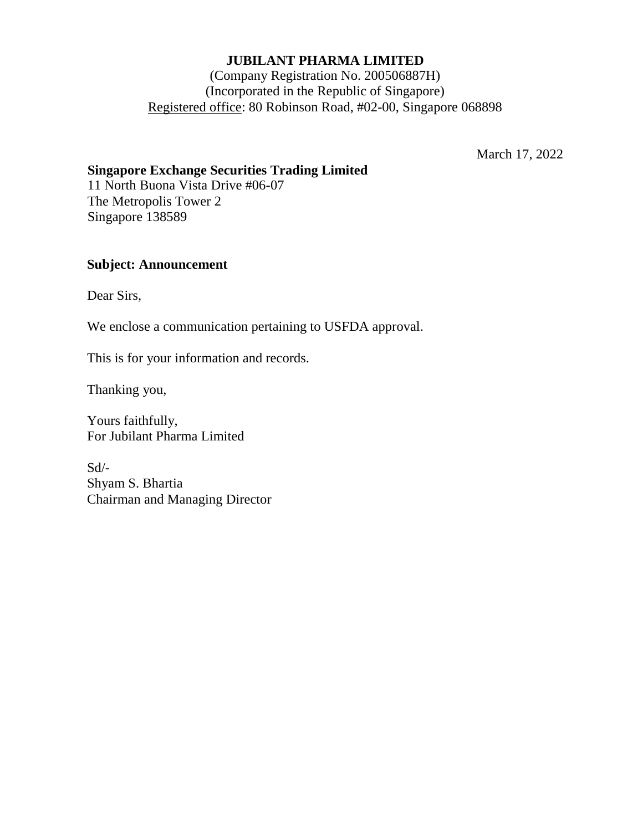### **JUBILANT PHARMA LIMITED**

## (Company Registration No. 200506887H) (Incorporated in the Republic of Singapore) Registered office: 80 Robinson Road, #02-00, Singapore 068898

March 17, 2022

## **Singapore Exchange Securities Trading Limited**

11 North Buona Vista Drive #06-07 The Metropolis Tower 2 Singapore 138589

## **Subject: Announcement**

Dear Sirs,

We enclose a communication pertaining to USFDA approval.

This is for your information and records.

Thanking you,

Yours faithfully, For Jubilant Pharma Limited

Sd/- Shyam S. Bhartia Chairman and Managing Director